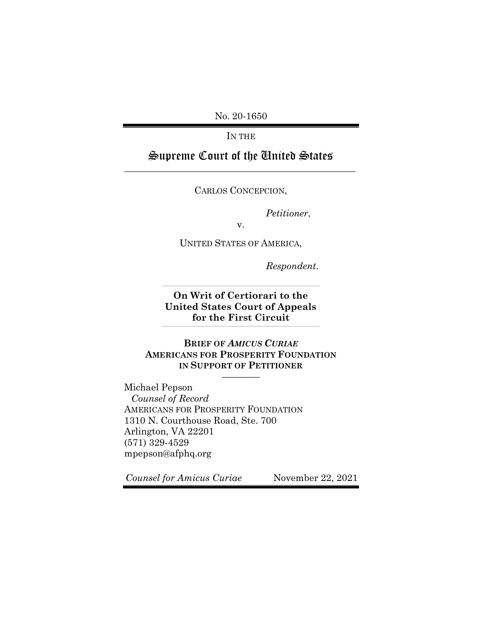No. 20-1650

IN THE

# Supreme Court of the United States \_\_\_\_\_\_\_\_\_\_\_\_\_\_\_\_\_\_\_\_\_\_\_\_\_\_\_\_\_\_\_\_\_\_\_\_\_\_\_\_\_\_\_\_\_\_\_\_\_

CARLOS CONCEPCION,

*Petitioner*,

UNITED STATES OF AMERICA,

v.

*Respondent*.

**On Writ of Certiorari to the United States Court of Appeals for the First Circuit** \_\_\_\_\_\_\_\_\_\_\_\_\_\_\_\_\_\_\_\_\_\_\_\_\_\_\_\_\_\_\_\_\_\_\_\_\_\_\_\_\_\_\_\_\_\_\_\_\_\_\_\_\_\_\_\_\_\_\_\_\_\_\_\_\_\_\_\_\_\_\_\_\_\_\_\_\_\_\_\_\_\_\_\_\_\_\_\_\_\_\_\_\_\_\_\_\_\_\_\_

\_\_\_\_\_\_\_\_\_\_\_\_\_\_\_\_\_\_\_\_\_\_\_\_\_\_\_\_\_\_\_\_\_\_\_\_\_\_\_\_\_\_\_\_\_\_\_\_\_\_\_\_\_\_\_\_\_\_\_\_\_\_\_\_\_\_\_\_\_\_\_\_\_\_\_\_\_\_\_\_\_\_\_\_\_\_\_\_\_\_\_\_\_\_\_\_\_\_\_\_

# **BRIEF OF** *AMICUS CURIAE* **AMERICANS FOR PROSPERITY FOUNDATION IN SUPPORT OF PETITIONER**

————

Michael Pepson *Counsel of Record* AMERICANS FOR PROSPERITY FOUNDATION 1310 N. Courthouse Road, Ste. 700 Arlington, VA 22201 (571) 329-4529 mpepson@afphq.org

*Counsel for Amicus Curiae* November 22, 2021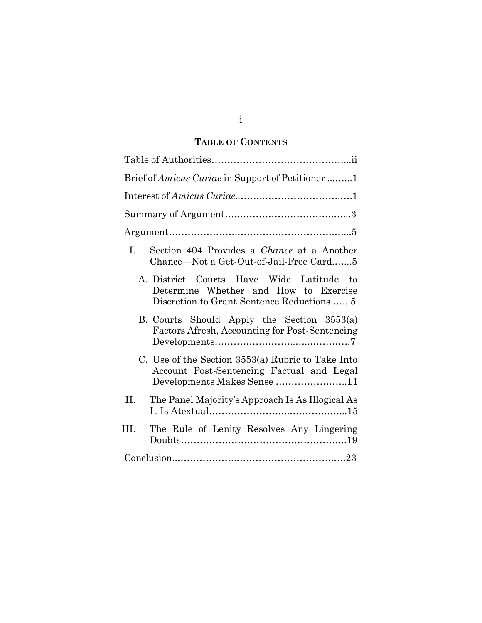# **TABLE OF CONTENTS**

| Brief of Amicus Curiae in Support of Petitioner 1                                                                             |
|-------------------------------------------------------------------------------------------------------------------------------|
|                                                                                                                               |
|                                                                                                                               |
|                                                                                                                               |
| Section 404 Provides a Chance at a Another<br>L.<br>Chance—Not a Get-Out-of-Jail-Free Card5                                   |
| A. District Courts Have Wide Latitude to<br>Determine Whether and How to Exercise<br>Discretion to Grant Sentence Reductions  |
| B. Courts Should Apply the Section 3553(a)<br>Factors Afresh, Accounting for Post-Sentencing                                  |
| C. Use of the Section 3553(a) Rubric to Take Into<br>Account Post-Sentencing Factual and Legal<br>Developments Makes Sense 11 |
| II.<br>The Panel Majority's Approach Is As Illogical As                                                                       |
| III.<br>The Rule of Lenity Resolves Any Lingering                                                                             |
|                                                                                                                               |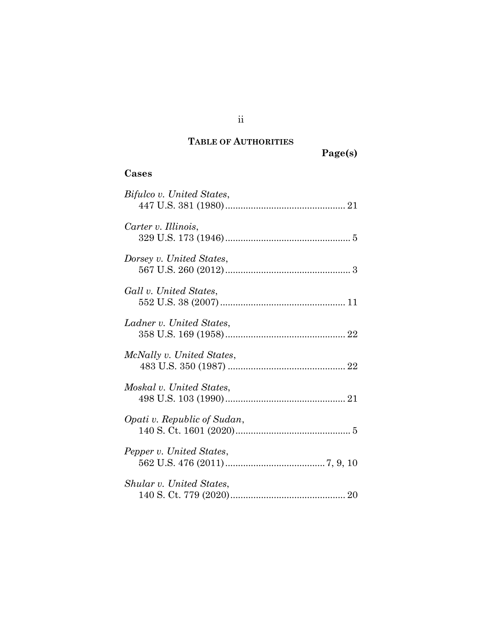# **TABLE OF AUTHORITIES**

**Page(s)**

# **Cases**

| Bifulco v. United States,   |
|-----------------------------|
| Carter v. Illinois,         |
| Dorsey v. United States,    |
| Gall v. United States,      |
| Ladner v. United States,    |
| McNally v. United States,   |
| Moskal v. United States,    |
| Opati v. Republic of Sudan, |
| Pepper v. United States,    |
| Shular v. United States,    |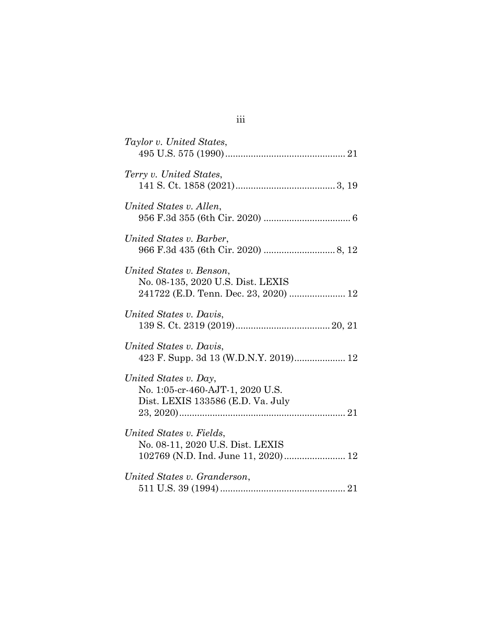| Taylor v. United States,                                                                               |
|--------------------------------------------------------------------------------------------------------|
| Terry v. United States,                                                                                |
| United States v. Allen,                                                                                |
| United States v. Barber,                                                                               |
| United States v. Benson,<br>No. 08-135, 2020 U.S. Dist. LEXIS<br>241722 (E.D. Tenn. Dec. 23, 2020)  12 |
| United States v. Davis,                                                                                |
| United States v. Davis,<br>423 F. Supp. 3d 13 (W.D.N.Y. 2019) 12                                       |
| United States v. Day,<br>No. 1:05-cr-460-AJT-1, 2020 U.S.<br>Dist. LEXIS 133586 (E.D. Va. July         |
| United States v. Fields,<br>No. 08-11, 2020 U.S. Dist. LEXIS<br>102769 (N.D. Ind. June 11, 2020) 12    |
| United States v. Granderson,                                                                           |

iii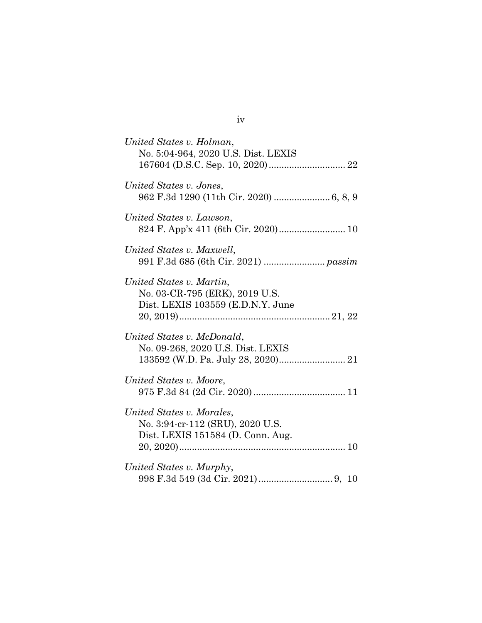| United States v. Holman,<br>No. 5:04-964, 2020 U.S. Dist. LEXIS                                    |
|----------------------------------------------------------------------------------------------------|
| United States v. Jones,                                                                            |
| United States v. Lawson,                                                                           |
| United States v. Maxwell,                                                                          |
| United States v. Martin,<br>No. 03-CR-795 (ERK), 2019 U.S.<br>Dist. LEXIS 103559 (E.D.N.Y. June    |
| United States v. McDonald,<br>No. 09-268, 2020 U.S. Dist. LEXIS                                    |
| United States v. Moore,                                                                            |
| United States v. Morales,<br>No. 3:94-cr-112 (SRU), 2020 U.S.<br>Dist. LEXIS 151584 (D. Conn. Aug. |
| United States v. Murphy,                                                                           |

iv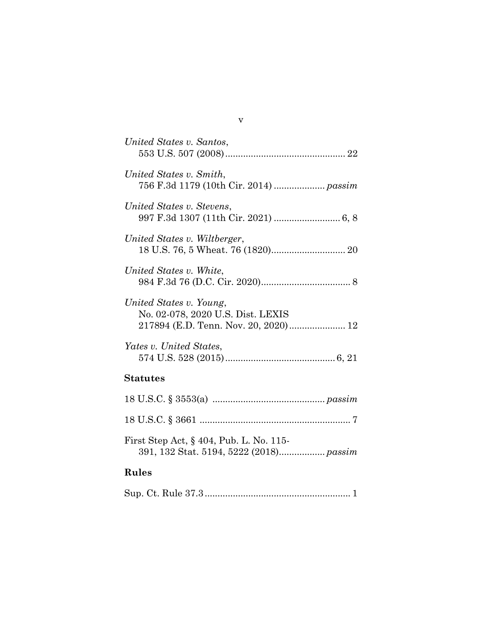| United States v. Santos,                                                                             |
|------------------------------------------------------------------------------------------------------|
| United States v. Smith,<br>756 F.3d 1179 (10th Cir. 2014)  passim                                    |
| United States v. Stevens,                                                                            |
| United States v. Wiltberger,                                                                         |
| United States v. White,                                                                              |
| United States v. Young,<br>No. 02-078, 2020 U.S. Dist. LEXIS<br>217894 (E.D. Tenn. Nov. 20, 2020) 12 |
| Yates v. United States,                                                                              |
| <b>Statutes</b>                                                                                      |
|                                                                                                      |
|                                                                                                      |
| First Step Act, $\S$ 404, Pub. L. No. 115-                                                           |
| Rules                                                                                                |
|                                                                                                      |

v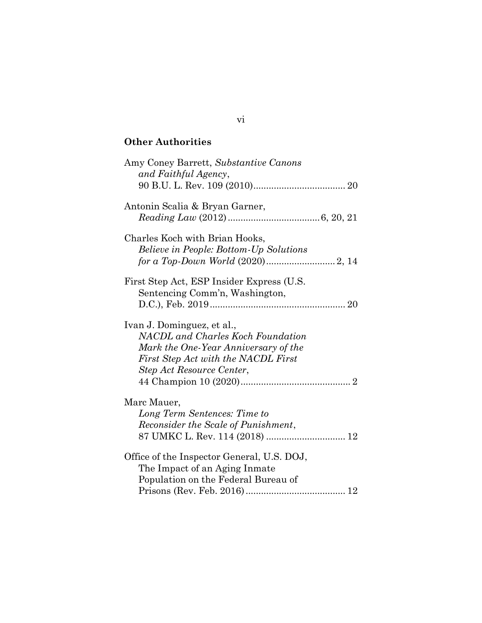# **Other Authorities**

| Amy Coney Barrett, Substantive Canons<br>and Faithful Agency,                                                                                                                      |
|------------------------------------------------------------------------------------------------------------------------------------------------------------------------------------|
|                                                                                                                                                                                    |
| Antonin Scalia & Bryan Garner,                                                                                                                                                     |
| Charles Koch with Brian Hooks,<br><i>Believe in People: Bottom-Up Solutions</i>                                                                                                    |
| First Step Act, ESP Insider Express (U.S.<br>Sentencing Comm'n, Washington,                                                                                                        |
| Ivan J. Dominguez, et al.,<br><b>NACDL</b> and Charles Koch Foundation<br>Mark the One-Year Anniversary of the<br>First Step Act with the NACDL First<br>Step Act Resource Center, |
| Marc Mauer,                                                                                                                                                                        |
| Long Term Sentences: Time to<br>Reconsider the Scale of Punishment,                                                                                                                |
| Office of the Inspector General, U.S. DOJ,<br>The Impact of an Aging Inmate<br>Population on the Federal Bureau of                                                                 |
|                                                                                                                                                                                    |

# vi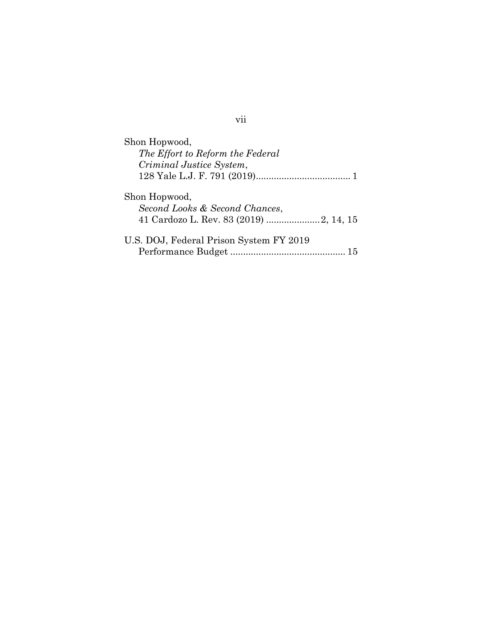| Shon Hopwood,                                   |    |
|-------------------------------------------------|----|
| The Effort to Reform the Federal                |    |
| Criminal Justice System,                        |    |
|                                                 |    |
| Shon Hopwood,<br>Second Looks & Second Chances, |    |
| U.S. DOJ, Federal Prison System FY 2019         |    |
|                                                 | 15 |

vii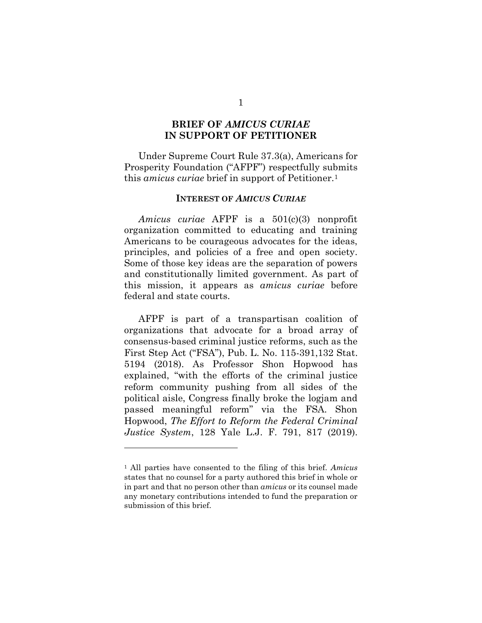## **BRIEF OF** *AMICUS CURIAE*  **IN SUPPORT OF PETITIONER**

Under Supreme Court Rule 37.3(a), Americans for Prosperity Foundation ("AFPF") respectfully submits this *amicus curiae* brief in support of Petitioner.<sup>1</sup>

#### **INTEREST OF** *AMICUS CURIAE*

*Amicus curiae* AFPF is a 501(c)(3) nonprofit organization committed to educating and training Americans to be courageous advocates for the ideas, principles, and policies of a free and open society. Some of those key ideas are the separation of powers and constitutionally limited government. As part of this mission, it appears as *amicus curiae* before federal and state courts.

AFPF is part of a transpartisan coalition of organizations that advocate for a broad array of consensus-based criminal justice reforms, such as the First Step Act ("FSA"), Pub. L. No. 115-391,132 Stat. 5194 (2018). As Professor Shon Hopwood has explained, "with the efforts of the criminal justice reform community pushing from all sides of the political aisle, Congress finally broke the logjam and passed meaningful reform" via the FSA. Shon Hopwood, *The Effort to Reform the Federal Criminal Justice System*, 128 Yale L.J. F. 791, 817 (2019).

1

<sup>1</sup> All parties have consented to the filing of this brief. *Amicus* states that no counsel for a party authored this brief in whole or in part and that no person other than *amicus* or its counsel made any monetary contributions intended to fund the preparation or submission of this brief.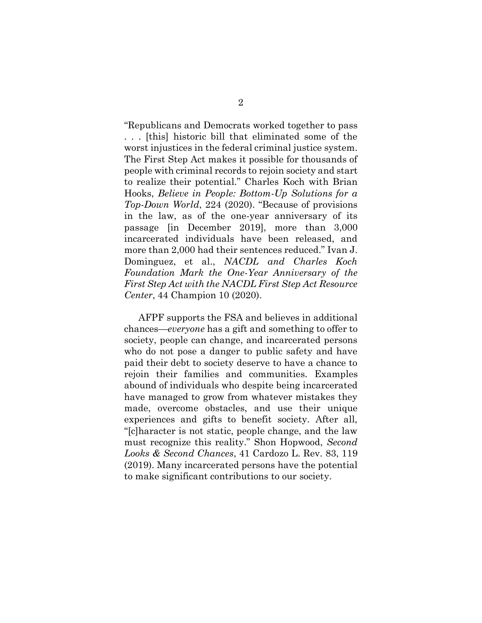"Republicans and Democrats worked together to pass . . . [this] historic bill that eliminated some of the worst injustices in the federal criminal justice system. The First Step Act makes it possible for thousands of people with criminal records to rejoin society and start to realize their potential." Charles Koch with Brian Hooks, *Believe in People: Bottom-Up Solutions for a Top-Down World*, 224 (2020). "Because of provisions in the law, as of the one-year anniversary of its passage [in December 2019], more than 3,000 incarcerated individuals have been released, and more than 2,000 had their sentences reduced." Ivan J. Dominguez, et al., *NACDL and Charles Koch Foundation Mark the One-Year Anniversary of the First Step Act with the NACDL First Step Act Resource Center*, 44 Champion 10 (2020).

AFPF supports the FSA and believes in additional chances—*everyone* has a gift and something to offer to society, people can change, and incarcerated persons who do not pose a danger to public safety and have paid their debt to society deserve to have a chance to rejoin their families and communities. Examples abound of individuals who despite being incarcerated have managed to grow from whatever mistakes they made, overcome obstacles, and use their unique experiences and gifts to benefit society. After all, "[c]haracter is not static, people change, and the law must recognize this reality." Shon Hopwood, *Second Looks & Second Chances*, 41 Cardozo L. Rev. 83, 119 (2019). Many incarcerated persons have the potential to make significant contributions to our society.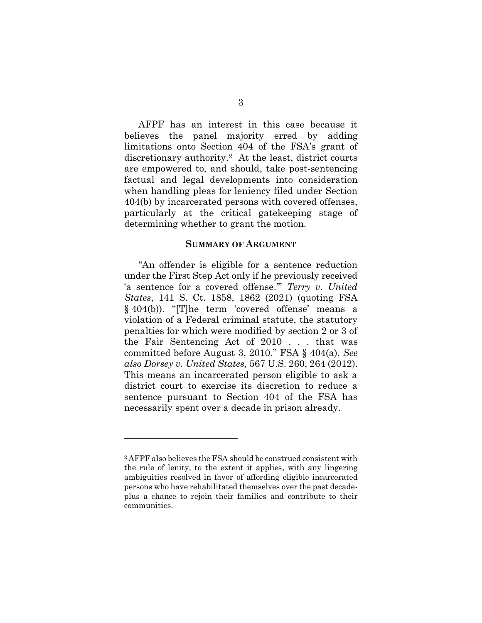AFPF has an interest in this case because it believes the panel majority erred by adding limitations onto Section 404 of the FSA's grant of discretionary authority. <sup>2</sup> At the least, district courts are empowered to, and should, take post-sentencing factual and legal developments into consideration when handling pleas for leniency filed under Section 404(b) by incarcerated persons with covered offenses, particularly at the critical gatekeeping stage of determining whether to grant the motion.

#### **SUMMARY OF ARGUMENT**

"An offender is eligible for a sentence reduction under the First Step Act only if he previously received 'a sentence for a covered offense.'" *Terry v. United States*, 141 S. Ct. 1858, 1862 (2021) (quoting FSA § 404(b)). "[T]he term 'covered offense' means a violation of a Federal criminal statute, the statutory penalties for which were modified by section 2 or 3 of the Fair Sentencing Act of 2010 . . . that was committed before August 3, 2010." FSA § 404(a). *See also Dorsey v. United States,* 567 U.S. 260, 264 (2012). This means an incarcerated person eligible to ask a district court to exercise its discretion to reduce a sentence pursuant to Section 404 of the FSA has necessarily spent over a decade in prison already.

<sup>&</sup>lt;sup>2</sup> AFPF also believes the FSA should be construed consistent with the rule of lenity, to the extent it applies, with any lingering ambiguities resolved in favor of affording eligible incarcerated persons who have rehabilitated themselves over the past decadeplus a chance to rejoin their families and contribute to their communities.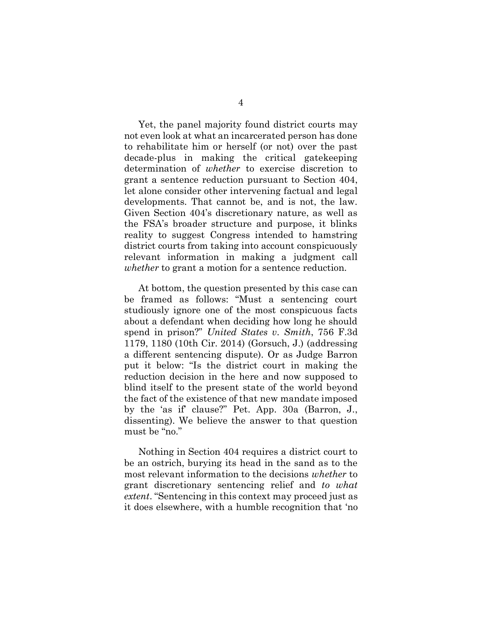Yet, the panel majority found district courts may not even look at what an incarcerated person has done to rehabilitate him or herself (or not) over the past decade-plus in making the critical gatekeeping determination of *whether* to exercise discretion to grant a sentence reduction pursuant to Section 404, let alone consider other intervening factual and legal developments. That cannot be, and is not, the law. Given Section 404's discretionary nature, as well as the FSA's broader structure and purpose, it blinks reality to suggest Congress intended to hamstring district courts from taking into account conspicuously relevant information in making a judgment call *whether* to grant a motion for a sentence reduction.

At bottom, the question presented by this case can be framed as follows: "Must a sentencing court studiously ignore one of the most conspicuous facts about a defendant when deciding how long he should spend in prison?" *United States v. Smith*, 756 F.3d 1179, 1180 (10th Cir. 2014) (Gorsuch, J.) (addressing a different sentencing dispute). Or as Judge Barron put it below: "Is the district court in making the reduction decision in the here and now supposed to blind itself to the present state of the world beyond the fact of the existence of that new mandate imposed by the 'as if' clause?" Pet. App. 30a (Barron, J., dissenting). We believe the answer to that question must be "no."

Nothing in Section 404 requires a district court to be an ostrich, burying its head in the sand as to the most relevant information to the decisions *whether* to grant discretionary sentencing relief and *to what extent*. "Sentencing in this context may proceed just as it does elsewhere, with a humble recognition that 'no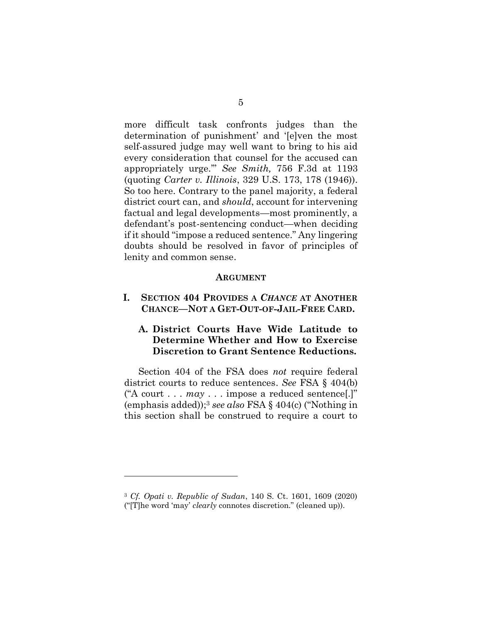more difficult task confronts judges than the determination of punishment' and '[e]ven the most self-assured judge may well want to bring to his aid every consideration that counsel for the accused can appropriately urge.'" *See Smith,* 756 F.3d at 1193 (quoting *Carter v. Illinois*, 329 U.S. 173, 178 (1946)). So too here. Contrary to the panel majority, a federal district court can, and *should*, account for intervening factual and legal developments—most prominently, a defendant's post-sentencing conduct—when deciding if it should "impose a reduced sentence." Any lingering doubts should be resolved in favor of principles of lenity and common sense.

#### **ARGUMENT**

**I. SECTION 404 PROVIDES A** *CHANCE* **AT ANOTHER CHANCE—NOT A GET-OUT-OF-JAIL-FREE CARD.**

# **A. District Courts Have Wide Latitude to Determine Whether and How to Exercise Discretion to Grant Sentence Reductions.**

Section 404 of the FSA does *not* require federal district courts to reduce sentences. *See* FSA § 404(b) ("A court . . . *may* . . . impose a reduced sentence[.]" (emphasis added)); <sup>3</sup> *see also* FSA § 404(c) ("Nothing in this section shall be construed to require a court to

<sup>3</sup> *Cf. Opati v. Republic of Sudan*, 140 S. Ct. 1601, 1609 (2020) ("[T]he word 'may' *clearly* connotes discretion." (cleaned up)).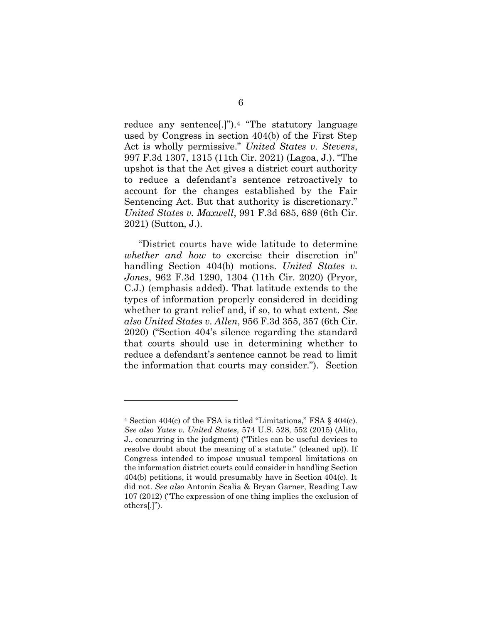reduce any sentence[.]").<sup>4</sup> "The statutory language used by Congress in section 404(b) of the First Step Act is wholly permissive." *United States v. Stevens*, 997 F.3d 1307, 1315 (11th Cir. 2021) (Lagoa, J.). "The upshot is that the Act gives a district court authority to reduce a defendant's sentence retroactively to account for the changes established by the Fair Sentencing Act. But that authority is discretionary." *United States v. Maxwell*, 991 F.3d 685, 689 (6th Cir. 2021) (Sutton, J.).

"District courts have wide latitude to determine *whether and how* to exercise their discretion in" handling Section 404(b) motions. *United States v. Jones*, 962 F.3d 1290, 1304 (11th Cir. 2020) (Pryor, C.J.) (emphasis added). That latitude extends to the types of information properly considered in deciding whether to grant relief and, if so, to what extent. *See also United States v. Allen*, 956 F.3d 355, 357 (6th Cir. 2020) ("Section 404's silence regarding the standard that courts should use in determining whether to reduce a defendant's sentence cannot be read to limit the information that courts may consider."). Section

<sup>4</sup> Section 404(c) of the FSA is titled "Limitations," FSA § 404(c). *See also Yates v. United States,* 574 U.S. 528, 552 (2015) (Alito, J., concurring in the judgment) ("Titles can be useful devices to resolve doubt about the meaning of a statute." (cleaned up)). If Congress intended to impose unusual temporal limitations on the information district courts could consider in handling Section 404(b) petitions, it would presumably have in Section 404(c). It did not. *See also* Antonin Scalia & Bryan Garner, Reading Law 107 (2012) ("The expression of one thing implies the exclusion of others[.]").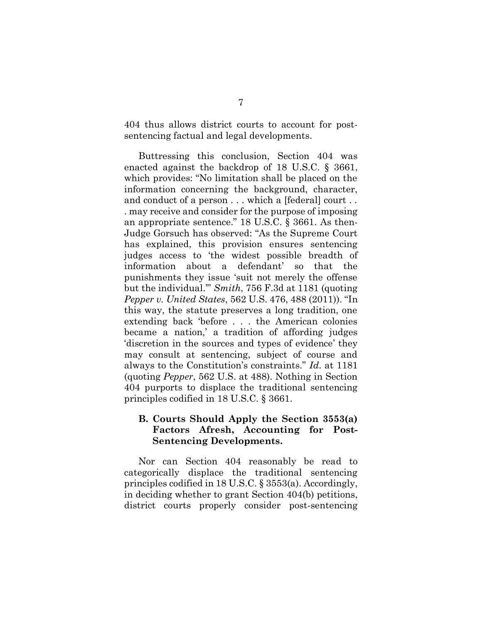404 thus allows district courts to account for postsentencing factual and legal developments.

Buttressing this conclusion, Section 404 was enacted against the backdrop of 18 U.S.C. § 3661, which provides: "No limitation shall be placed on the information concerning the background, character, and conduct of a person . . . which a [federal] court . . . may receive and consider for the purpose of imposing an appropriate sentence." 18 U.S.C. § 3661. As then-Judge Gorsuch has observed: "As the Supreme Court has explained, this provision ensures sentencing judges access to 'the widest possible breadth of information about a defendant' so that the punishments they issue 'suit not merely the offense but the individual.'" *Smith*, 756 F.3d at 1181 (quoting *Pepper v. United States*, 562 U.S. 476, 488 (2011)). "In this way, the statute preserves a long tradition, one extending back 'before . . . the American colonies became a nation,' a tradition of affording judges 'discretion in the sources and types of evidence' they may consult at sentencing, subject of course and always to the Constitution's constraints." *Id*. at 1181 (quoting *Pepper*, 562 U.S. at 488). Nothing in Section 404 purports to displace the traditional sentencing principles codified in 18 U.S.C. § 3661.

## **B. Courts Should Apply the Section 3553(a) Factors Afresh, Accounting for Post-Sentencing Developments.**

Nor can Section 404 reasonably be read to categorically displace the traditional sentencing principles codified in 18 U.S.C. § 3553(a). Accordingly, in deciding whether to grant Section 404(b) petitions, district courts properly consider post-sentencing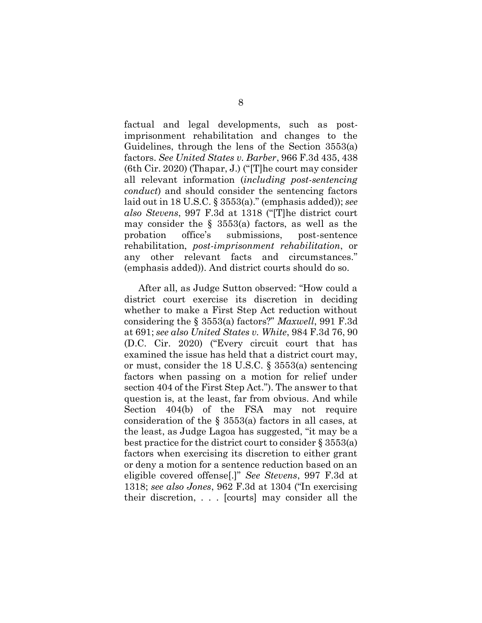factual and legal developments, such as postimprisonment rehabilitation and changes to the Guidelines, through the lens of the Section 3553(a) factors. *See United States v. Barber*, 966 F.3d 435, 438 (6th Cir. 2020) (Thapar, J.) ("[T]he court may consider all relevant information (*including post-sentencing conduct*) and should consider the sentencing factors laid out in 18 U.S.C. § 3553(a)." (emphasis added)); *see also Stevens*, 997 F.3d at 1318 ("[T]he district court may consider the  $\S$  3553(a) factors, as well as the probation office's submissions, post-sentence rehabilitation, *post-imprisonment rehabilitation*, or any other relevant facts and circumstances." (emphasis added)). And district courts should do so.

After all, as Judge Sutton observed: "How could a district court exercise its discretion in deciding whether to make a First Step Act reduction without considering the § 3553(a) factors?" *Maxwell*, 991 F.3d at 691; *see also United States v. White*, 984 F.3d 76, 90 (D.C. Cir. 2020) ("Every circuit court that has examined the issue has held that a district court may, or must, consider the 18 U.S.C. § 3553(a) sentencing factors when passing on a motion for relief under section 404 of the First Step Act."). The answer to that question is, at the least, far from obvious. And while Section 404(b) of the FSA may not require consideration of the § 3553(a) factors in all cases, at the least, as Judge Lagoa has suggested, "it may be a best practice for the district court to consider § 3553(a) factors when exercising its discretion to either grant or deny a motion for a sentence reduction based on an eligible covered offense[.]" *See Stevens*, 997 F.3d at 1318; *see also Jones*, 962 F.3d at 1304 ("In exercising their discretion, . . . [courts] may consider all the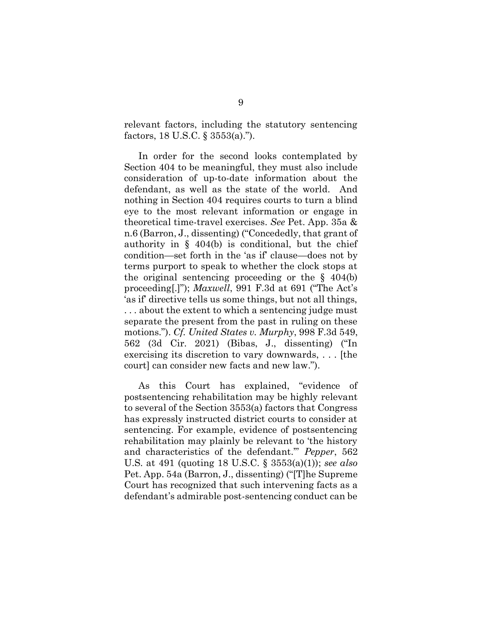relevant factors, including the statutory sentencing factors, 18 U.S.C. § 3553(a).").

In order for the second looks contemplated by Section 404 to be meaningful, they must also include consideration of up-to-date information about the defendant, as well as the state of the world. And nothing in Section 404 requires courts to turn a blind eye to the most relevant information or engage in theoretical time-travel exercises. *See* Pet. App. 35a & n.6 (Barron, J., dissenting) ("Concededly, that grant of authority in  $\S$  404(b) is conditional, but the chief condition—set forth in the 'as if' clause—does not by terms purport to speak to whether the clock stops at the original sentencing proceeding or the  $\S$  404(b) proceeding[.]"); *Maxwell*, 991 F.3d at 691 ("The Act's 'as if' directive tells us some things, but not all things, . . . about the extent to which a sentencing judge must separate the present from the past in ruling on these motions."). *Cf. United States v. Murphy*, 998 F.3d 549, 562 (3d Cir. 2021) (Bibas, J., dissenting) ("In exercising its discretion to vary downwards, . . . [the court] can consider new facts and new law.").

As this Court has explained, "evidence of postsentencing rehabilitation may be highly relevant to several of the Section 3553(a) factors that Congress has expressly instructed district courts to consider at sentencing. For example, evidence of postsentencing rehabilitation may plainly be relevant to 'the history and characteristics of the defendant.'" *Pepper*, 562 U.S. at 491 (quoting 18 U.S.C. § 3553(a)(1)); *see also*  Pet. App. 54a (Barron, J., dissenting) ("[T]he Supreme Court has recognized that such intervening facts as a defendant's admirable post-sentencing conduct can be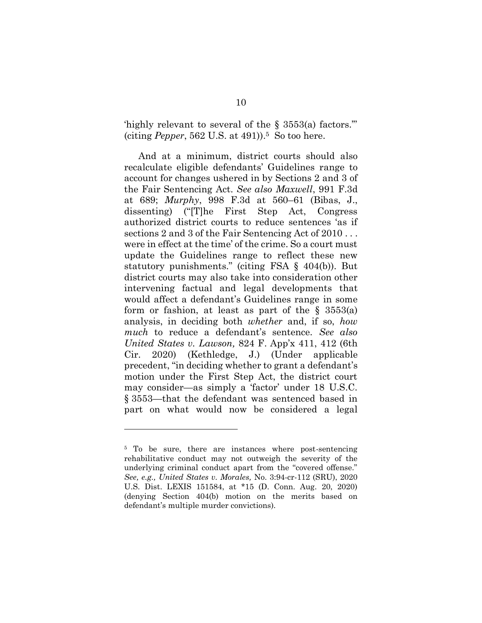'highly relevant to several of the § 3553(a) factors.'" (citing *Pepper*, 562 U.S. at 491)). <sup>5</sup> So too here.

And at a minimum, district courts should also recalculate eligible defendants' Guidelines range to account for changes ushered in by Sections 2 and 3 of the Fair Sentencing Act. *See also Maxwell*, 991 F.3d at 689; *Murphy*, 998 F.3d at 560–61 (Bibas, J., dissenting) ("[T]he First Step Act, Congress authorized district courts to reduce sentences 'as if sections 2 and 3 of the Fair Sentencing Act of 2010 . . . were in effect at the time' of the crime. So a court must update the Guidelines range to reflect these new statutory punishments." (citing FSA § 404(b)). But district courts may also take into consideration other intervening factual and legal developments that would affect a defendant's Guidelines range in some form or fashion, at least as part of the  $\S$  3553(a) analysis, in deciding both *whether* and, if so, *how much* to reduce a defendant's sentence. *See also United States v. Lawson,* 824 F. App'x 411, 412 (6th Cir. 2020) (Kethledge, J.) (Under applicable precedent, "in deciding whether to grant a defendant's motion under the First Step Act, the district court may consider—as simply a 'factor' under 18 U.S.C. § 3553—that the defendant was sentenced based in part on what would now be considered a legal

<sup>&</sup>lt;sup>5</sup> To be sure, there are instances where post-sentencing rehabilitative conduct may not outweigh the severity of the underlying criminal conduct apart from the "covered offense." *See, e.g., United States v. Morales,* No. 3:94-cr-112 (SRU), 2020 U.S. Dist. LEXIS 151584, at \*15 (D. Conn. Aug. 20, 2020) (denying Section 404(b) motion on the merits based on defendant's multiple murder convictions).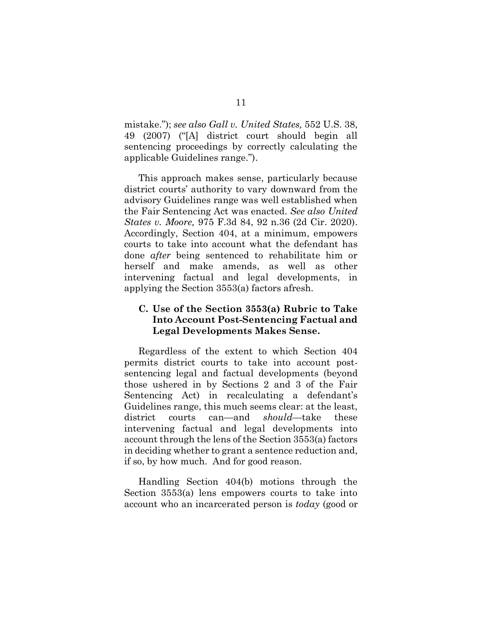mistake."); *see also Gall v. United States,* 552 U.S. 38, 49 (2007) ("[A] district court should begin all sentencing proceedings by correctly calculating the applicable Guidelines range.").

This approach makes sense, particularly because district courts' authority to vary downward from the advisory Guidelines range was well established when the Fair Sentencing Act was enacted. *See also United States v. Moore,* 975 F.3d 84, 92 n.36 (2d Cir. 2020). Accordingly, Section 404, at a minimum, empowers courts to take into account what the defendant has done *after* being sentenced to rehabilitate him or herself and make amends, as well as other intervening factual and legal developments, in applying the Section 3553(a) factors afresh.

## **C. Use of the Section 3553(a) Rubric to Take Into Account Post-Sentencing Factual and Legal Developments Makes Sense.**

Regardless of the extent to which Section 404 permits district courts to take into account postsentencing legal and factual developments (beyond those ushered in by Sections 2 and 3 of the Fair Sentencing Act) in recalculating a defendant's Guidelines range, this much seems clear: at the least, district courts can—and *should*—take these intervening factual and legal developments into account through the lens of the Section 3553(a) factors in deciding whether to grant a sentence reduction and, if so, by how much. And for good reason.

Handling Section 404(b) motions through the Section 3553(a) lens empowers courts to take into account who an incarcerated person is *today* (good or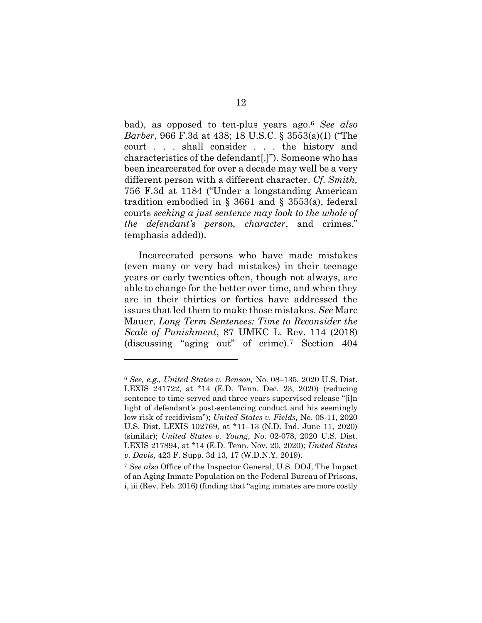bad), as opposed to ten-plus years ago. <sup>6</sup> *See also Barber*, 966 F.3d at 438; 18 U.S.C. § 3553(a)(1) ("The court . . . shall consider . . . the history and characteristics of the defendant[.]"). Someone who has been incarcerated for over a decade may well be a very different person with a different character. *Cf. Smith,*  756 F.3d at 1184 ("Under a longstanding American tradition embodied in § 3661 and § 3553(a), federal courts *seeking a just sentence may look to the whole of the defendant's person, character*, and crimes." (emphasis added)).

Incarcerated persons who have made mistakes (even many or very bad mistakes) in their teenage years or early twenties often, though not always, are able to change for the better over time, and when they are in their thirties or forties have addressed the issues that led them to make those mistakes. *See* Marc Mauer, *Long Term Sentences: Time to Reconsider the Scale of Punishment*, 87 UMKC L. Rev. 114 (2018) (discussing "aging out" of crime).<sup>7</sup> Section 404

<sup>6</sup> *See, e.g., United States v. Benson,* No. 08–135, 2020 U.S. Dist. LEXIS 241722, at \*14 (E.D. Tenn. Dec. 23, 2020) (reducing sentence to time served and three years supervised release "[i]n light of defendant's post-sentencing conduct and his seemingly low risk of recidivism"); *United States v. Fields,* No. 08-11, 2020 U.S. Dist. LEXIS 102769, at \*11–13 (N.D. Ind. June 11, 2020) (similar); *United States v. Young,* No. 02-078, 2020 U.S. Dist. LEXIS 217894, at \*14 (E.D. Tenn. Nov. 20, 2020); *United States v. Davis,* 423 F. Supp. 3d 13, 17 (W.D.N.Y. 2019).

<sup>7</sup> *See also* Office of the Inspector General, U.S. DOJ, The Impact of an Aging Inmate Population on the Federal Bureau of Prisons, i, iii (Rev. Feb. 2016) (finding that "aging inmates are more costly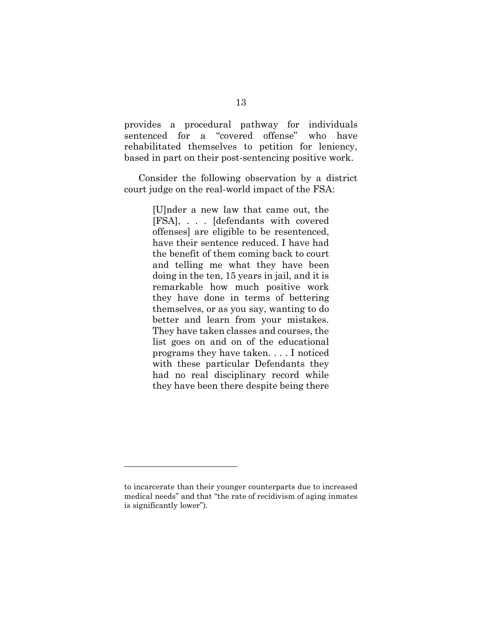provides a procedural pathway for individuals sentenced for a "covered offense" who have rehabilitated themselves to petition for leniency, based in part on their post-sentencing positive work.

Consider the following observation by a district court judge on the real-world impact of the FSA:

> [U]nder a new law that came out, the [FSA], . . . [defendants with covered offenses] are eligible to be resentenced, have their sentence reduced. I have had the benefit of them coming back to court and telling me what they have been doing in the ten, 15 years in jail, and it is remarkable how much positive work they have done in terms of bettering themselves, or as you say, wanting to do better and learn from your mistakes. They have taken classes and courses, the list goes on and on of the educational programs they have taken. . . . I noticed with these particular Defendants they had no real disciplinary record while they have been there despite being there

to incarcerate than their younger counterparts due to increased medical needs" and that "the rate of recidivism of aging inmates is significantly lower").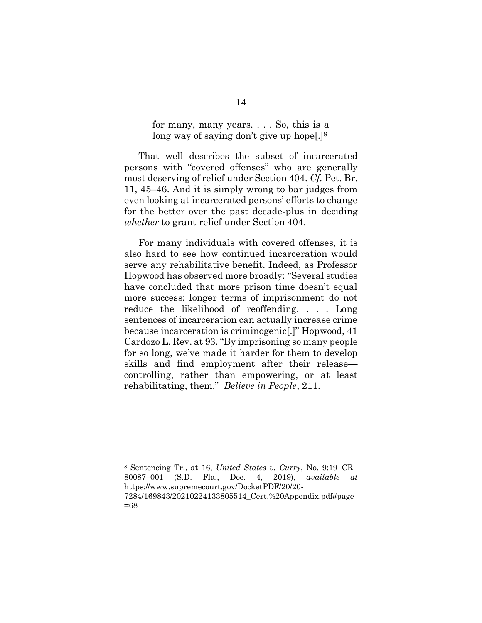for many, many years. . . . So, this is a long way of saying don't give up hope[.]<sup>8</sup>

That well describes the subset of incarcerated persons with "covered offenses" who are generally most deserving of relief under Section 404. *Cf.* Pet. Br. 11, 45–46. And it is simply wrong to bar judges from even looking at incarcerated persons' efforts to change for the better over the past decade-plus in deciding *whether* to grant relief under Section 404.

For many individuals with covered offenses, it is also hard to see how continued incarceration would serve any rehabilitative benefit. Indeed, as Professor Hopwood has observed more broadly: "Several studies have concluded that more prison time doesn't equal more success; longer terms of imprisonment do not reduce the likelihood of reoffending. . . . Long sentences of incarceration can actually increase crime because incarceration is criminogenic[.]" Hopwood, 41 Cardozo L. Rev. at 93. "By imprisoning so many people for so long, we've made it harder for them to develop skills and find employment after their release controlling, rather than empowering, or at least rehabilitating, them." *Believe in People*, 211.

<sup>8</sup> Sentencing Tr., at 16, *United States v. Curry*, No. 9:19–CR– 80087–001 (S.D. Fla., Dec. 4, 2019), *available at*  [https://www.supremecourt.gov/DocketPDF/20/20-](https://www.supremecourt.gov/DocketPDF/20/20-7284/169843/20210224133805514_Cert.%20Appendix.pdf#page=68)

[<sup>7284/169843/20210224133805514</sup>\\_Cert.%20Appendix.pdf#page](https://www.supremecourt.gov/DocketPDF/20/20-7284/169843/20210224133805514_Cert.%20Appendix.pdf#page=68) [=68](https://www.supremecourt.gov/DocketPDF/20/20-7284/169843/20210224133805514_Cert.%20Appendix.pdf#page=68)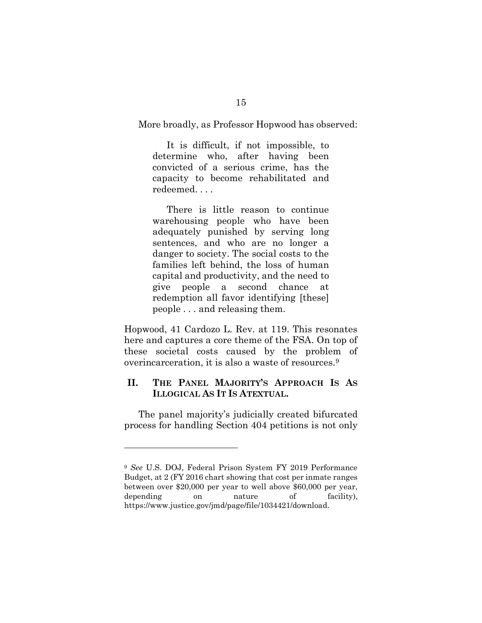#### More broadly, as Professor Hopwood has observed:

It is difficult, if not impossible, to determine who, after having been convicted of a serious crime, has the capacity to become rehabilitated and redeemed. . . .

There is little reason to continue warehousing people who have been adequately punished by serving long sentences, and who are no longer a danger to society. The social costs to the families left behind, the loss of human capital and productivity, and the need to give people a second chance at redemption all favor identifying [these] people . . . and releasing them.

Hopwood, 41 Cardozo L. Rev. at 119. This resonates here and captures a core theme of the FSA. On top of these societal costs caused by the problem of overincarceration, it is also a waste of resources.<sup>9</sup>

## **II. THE PANEL MAJORITY'S APPROACH IS AS ILLOGICAL AS IT IS ATEXTUAL.**

The panel majority's judicially created bifurcated process for handling Section 404 petitions is not only

<sup>9</sup> *See* U.S. DOJ, Federal Prison System FY 2019 Performance Budget, at 2 (FY 2016 chart showing that cost per inmate ranges between over \$20,000 per year to well above \$60,000 per year, depending on nature of facility), https://www.justice.gov/jmd/page/file/1034421/download.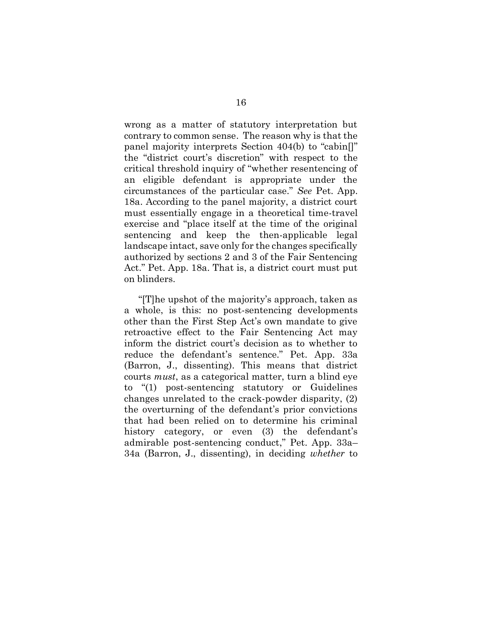wrong as a matter of statutory interpretation but contrary to common sense. The reason why is that the panel majority interprets Section 404(b) to "cabin[]" the "district court's discretion" with respect to the critical threshold inquiry of "whether resentencing of an eligible defendant is appropriate under the circumstances of the particular case." *See* Pet. App. 18a. According to the panel majority, a district court must essentially engage in a theoretical time-travel exercise and "place itself at the time of the original sentencing and keep the then-applicable legal landscape intact, save only for the changes specifically authorized by sections 2 and 3 of the Fair Sentencing Act." Pet. App. 18a. That is, a district court must put on blinders.

"[T]he upshot of the majority's approach, taken as a whole, is this: no post-sentencing developments other than the First Step Act's own mandate to give retroactive effect to the Fair Sentencing Act may inform the district court's decision as to whether to reduce the defendant's sentence." Pet. App. 33a (Barron, J., dissenting). This means that district courts *must*, as a categorical matter, turn a blind eye to "(1) post-sentencing statutory or Guidelines changes unrelated to the crack-powder disparity, (2) the overturning of the defendant's prior convictions that had been relied on to determine his criminal history category, or even (3) the defendant's admirable post-sentencing conduct," Pet. App. 33a– 34a (Barron, J., dissenting), in deciding *whether* to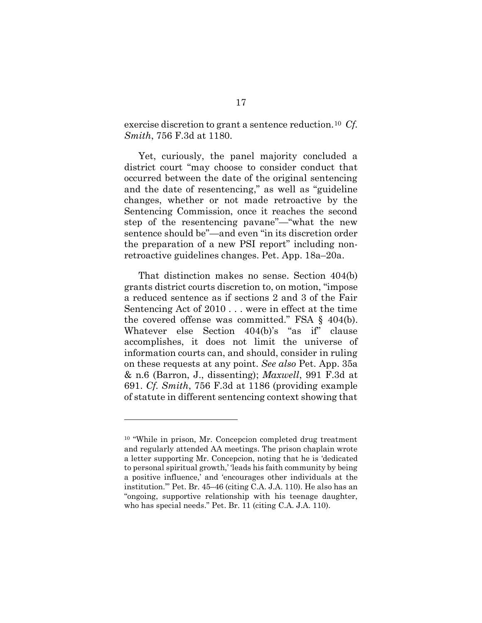exercise discretion to grant a sentence reduction.<sup>10</sup> *Cf. Smith*, 756 F.3d at 1180.

Yet, curiously, the panel majority concluded a district court "may choose to consider conduct that occurred between the date of the original sentencing and the date of resentencing," as well as "guideline changes, whether or not made retroactive by the Sentencing Commission, once it reaches the second step of the resentencing pavane"—"what the new sentence should be"—and even "in its discretion order the preparation of a new PSI report" including nonretroactive guidelines changes. Pet. App. 18a–20a.

That distinction makes no sense. Section 404(b) grants district courts discretion to, on motion, "impose a reduced sentence as if sections 2 and 3 of the Fair Sentencing Act of 2010 . . . were in effect at the time the covered offense was committed." FSA § 404(b). Whatever else Section 404(b)'s "as if" clause accomplishes, it does not limit the universe of information courts can, and should, consider in ruling on these requests at any point. *See also* Pet. App. 35a & n.6 (Barron, J., dissenting); *Maxwell*, 991 F.3d at 691. *Cf. Smith*, 756 F.3d at 1186 (providing example of statute in different sentencing context showing that

<sup>10</sup> "While in prison, Mr. Concepcion completed drug treatment and regularly attended AA meetings. The prison chaplain wrote a letter supporting Mr. Concepcion, noting that he is 'dedicated to personal spiritual growth,' 'leads his faith community by being a positive influence,' and 'encourages other individuals at the institution.'" Pet. Br. 45–46 (citing C.A. J.A. 110). He also has an "ongoing, supportive relationship with his teenage daughter, who has special needs." Pet. Br. 11 (citing C.A. J.A. 110).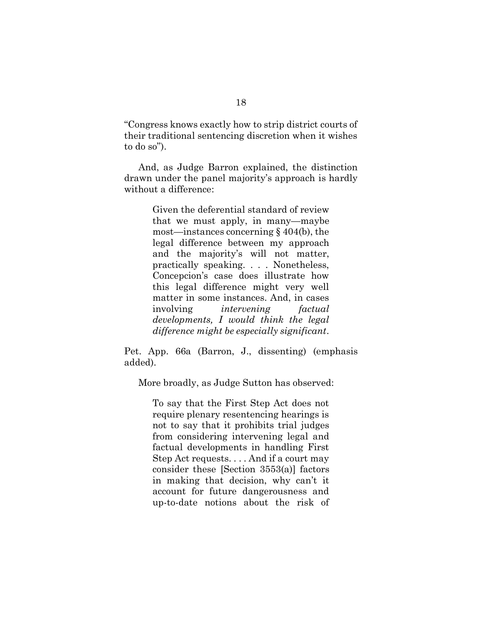"Congress knows exactly how to strip district courts of their traditional sentencing discretion when it wishes to do so").

And, as Judge Barron explained, the distinction drawn under the panel majority's approach is hardly without a difference:

> Given the deferential standard of review that we must apply, in many—maybe most—instances concerning § 404(b), the legal difference between my approach and the majority's will not matter, practically speaking. . . . Nonetheless, Concepcion's case does illustrate how this legal difference might very well matter in some instances. And, in cases involving *intervening factual developments, I would think the legal difference might be especially significant*.

Pet. App. 66a (Barron, J., dissenting) (emphasis added).

More broadly, as Judge Sutton has observed:

To say that the First Step Act does not require plenary resentencing hearings is not to say that it prohibits trial judges from considering intervening legal and factual developments in handling First Step Act requests. . . . And if a court may consider these [Section 3553(a)] factors in making that decision, why can't it account for future dangerousness and up-to-date notions about the risk of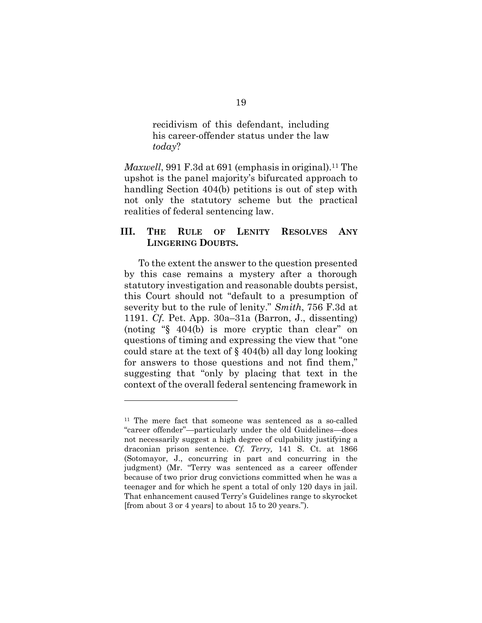recidivism of this defendant, including his career-offender status under the law *today*?

*Maxwell*, 991 F.3d at 691 (emphasis in original).<sup>11</sup> The upshot is the panel majority's bifurcated approach to handling Section 404(b) petitions is out of step with not only the statutory scheme but the practical realities of federal sentencing law.

## **III. THE RULE OF LENITY RESOLVES ANY LINGERING DOUBTS.**

To the extent the answer to the question presented by this case remains a mystery after a thorough statutory investigation and reasonable doubts persist, this Court should not "default to a presumption of severity but to the rule of lenity." *Smith*, 756 F.3d at 1191. *Cf.* Pet. App. 30a–31a (Barron, J., dissenting) (noting "§ 404(b) is more cryptic than clear" on questions of timing and expressing the view that "one could stare at the text of § 404(b) all day long looking for answers to those questions and not find them," suggesting that "only by placing that text in the context of the overall federal sentencing framework in

<sup>11</sup> The mere fact that someone was sentenced as a so-called "career offender"—particularly under the old Guidelines—does not necessarily suggest a high degree of culpability justifying a draconian prison sentence. *Cf. Terry,* 141 S. Ct. at 1866 (Sotomayor, J., concurring in part and concurring in the judgment) (Mr. "Terry was sentenced as a career offender because of two prior drug convictions committed when he was a teenager and for which he spent a total of only 120 days in jail. That enhancement caused Terry's Guidelines range to skyrocket [from about 3 or 4 years] to about 15 to 20 years.").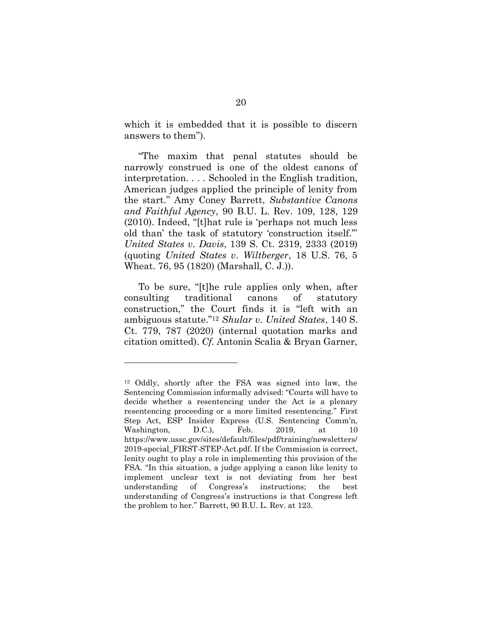which it is embedded that it is possible to discern answers to them").

"The maxim that penal statutes should be narrowly construed is one of the oldest canons of interpretation. . . . Schooled in the English tradition, American judges applied the principle of lenity from the start." Amy Coney Barrett, *Substantive Canons and Faithful Agency*, 90 B.U. L. Rev. 109, 128, 129 (2010). Indeed, "[t]hat rule is 'perhaps not much less old than' the task of statutory 'construction itself.'" *United States v. Davis*, 139 S. Ct. 2319, 2333 (2019) (quoting *United States v. Wiltberger*, 18 U.S. 76, 5 Wheat. 76, 95 (1820) (Marshall, C. J.)).

To be sure, "[t]he rule applies only when, after consulting traditional canons of statutory construction," the Court finds it is "left with an ambiguous statute."<sup>12</sup> *Shular v. United States*, 140 S. Ct. 779, 787 (2020) (internal quotation marks and citation omitted). *Cf.* Antonin Scalia & Bryan Garner,

<sup>12</sup> Oddly, shortly after the FSA was signed into law, the Sentencing Commission informally advised: "Courts will have to decide whether a resentencing under the Act is a plenary resentencing proceeding or a more limited resentencing." First Step Act, ESP Insider Express (U.S. Sentencing Comm'n, Washington, D.C.), Feb. 2019, at 10 [https://www.ussc.gov/sites/default/files/pdf/training/newsletters/](https://www.ussc.gov/sites/default/files/pdf/training/newsletters/2019-special_FIRST-STEP-Act.pdf) [2019-special\\_FIRST-STEP-Act.pdf.](https://www.ussc.gov/sites/default/files/pdf/training/newsletters/2019-special_FIRST-STEP-Act.pdf) If the Commission is correct, lenity ought to play a role in implementing this provision of the FSA. "In this situation, a judge applying a canon like lenity to implement unclear text is not deviating from her best understanding of Congress's instructions; the best understanding of Congress's instructions is that Congress left the problem to her." Barrett, 90 B.U. L. Rev. at 123.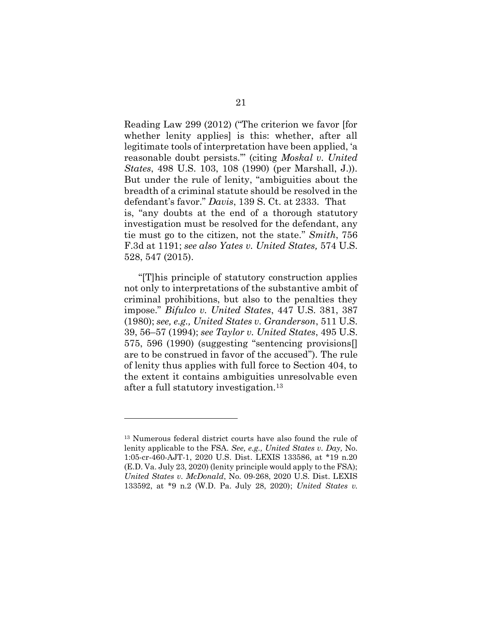Reading Law 299 (2012) ("The criterion we favor [for whether lenity applies] is this: whether, after all legitimate tools of interpretation have been applied, 'a reasonable doubt persists.'" (citing *Moskal v. United States*, 498 U.S. 103, 108 (1990) (per Marshall, J.)). But under the rule of lenity, "ambiguities about the breadth of a criminal statute should be resolved in the defendant's favor." *Davis*, 139 S. Ct. at 2333. That is, "any doubts at the end of a thorough statutory investigation must be resolved for the defendant, any tie must go to the citizen, not the state." *Smith*, 756 F.3d at 1191; *see also Yates v. United States,* 574 U.S. 528, 547 (2015).

"[T]his principle of statutory construction applies not only to interpretations of the substantive ambit of criminal prohibitions, but also to the penalties they impose." *Bifulco v. United States*, 447 U.S. 381, 387 (1980); *see, e.g., United States v. Granderson*, 511 U.S. 39, 56–57 (1994); *see Taylor v. United States*, 495 U.S. 575, 596 (1990) (suggesting "sentencing provisions[] are to be construed in favor of the accused"). The rule of lenity thus applies with full force to Section 404, to the extent it contains ambiguities unresolvable even after a full statutory investigation.<sup>13</sup>

<sup>13</sup> Numerous federal district courts have also found the rule of lenity applicable to the FSA. *See, e.g., United States v. Day,* No. 1:05-cr-460-AJT-1, 2020 U.S. Dist. LEXIS 133586, at \*19 n.20 (E.D. Va. July 23, 2020) (lenity principle would apply to the FSA); *United States v. McDonald*, No. 09-268, 2020 U.S. Dist. LEXIS 133592, at \*9 n.2 (W.D. Pa. July 28, 2020); *United States v.*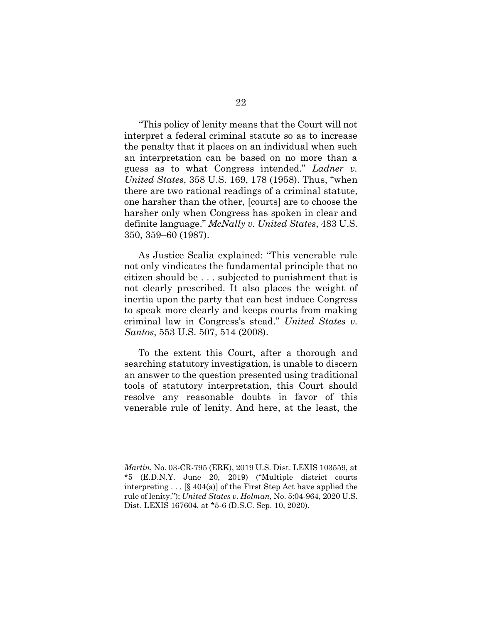"This policy of lenity means that the Court will not interpret a federal criminal statute so as to increase the penalty that it places on an individual when such an interpretation can be based on no more than a guess as to what Congress intended." *Ladner v. United States*, 358 U.S. 169, 178 (1958). Thus, "when there are two rational readings of a criminal statute, one harsher than the other, [courts] are to choose the harsher only when Congress has spoken in clear and definite language." *McNally v. United States*, 483 U.S. 350, 359–60 (1987).

As Justice Scalia explained: "This venerable rule not only vindicates the fundamental principle that no citizen should be . . . subjected to punishment that is not clearly prescribed. It also places the weight of inertia upon the party that can best induce Congress to speak more clearly and keeps courts from making criminal law in Congress's stead." *United States v. Santos*, 553 U.S. 507, 514 (2008).

To the extent this Court, after a thorough and searching statutory investigation, is unable to discern an answer to the question presented using traditional tools of statutory interpretation, this Court should resolve any reasonable doubts in favor of this venerable rule of lenity. And here, at the least, the

*Martin*, No. 03-CR-795 (ERK), 2019 U.S. Dist. LEXIS 103559, at \*5 (E.D.N.Y. June 20, 2019) ("Multiple district courts interpreting . . . [§ 404(a)] of the First Step Act have applied the rule of lenity."); *United States v. Holman*, No. 5:04-964, 2020 U.S. Dist. LEXIS 167604, at \*5-6 (D.S.C. Sep. 10, 2020).